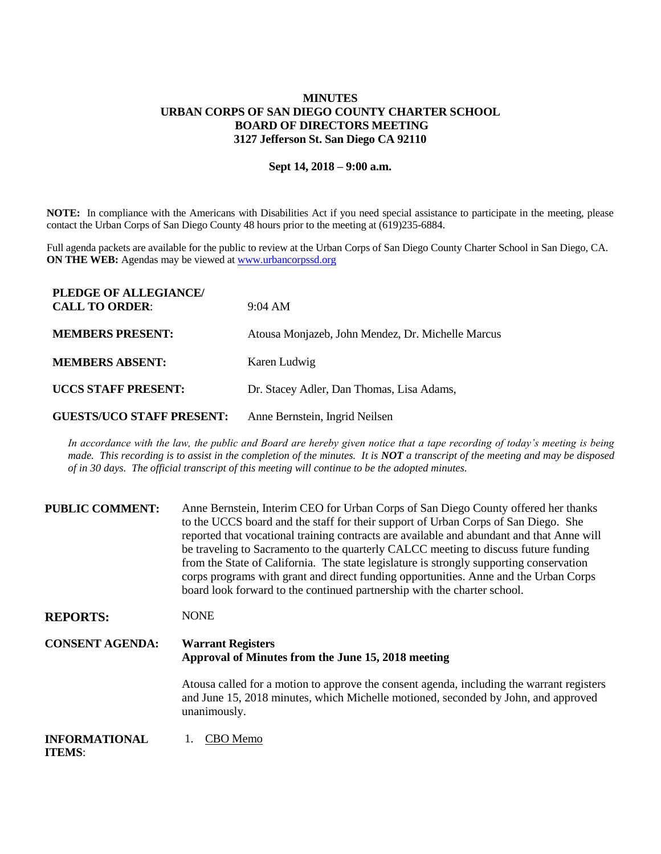## **MINUTES URBAN CORPS OF SAN DIEGO COUNTY CHARTER SCHOOL BOARD OF DIRECTORS MEETING 3127 Jefferson St. San Diego CA 92110**

## **Sept 14, 2018 – 9:00 a.m.**

**NOTE:** In compliance with the Americans with Disabilities Act if you need special assistance to participate in the meeting, please contact the Urban Corps of San Diego County 48 hours prior to the meeting at (619)235-6884.

Full agenda packets are available for the public to review at the Urban Corps of San Diego County Charter School in San Diego, CA. **ON THE WEB:** Agendas may be viewed at **www.urbancorpssd.org** 

| PLEDGE OF ALLEGIANCE/<br><b>CALL TO ORDER:</b> | $9:04 \text{ AM}$                                 |
|------------------------------------------------|---------------------------------------------------|
| <b>MEMBERS PRESENT:</b>                        | Atousa Monjazeb, John Mendez, Dr. Michelle Marcus |
| <b>MEMBERS ABSENT:</b>                         | Karen Ludwig                                      |
| <b>UCCS STAFF PRESENT:</b>                     | Dr. Stacey Adler, Dan Thomas, Lisa Adams,         |
| <b>GUESTS/UCO STAFF PRESENT:</b>               | Anne Bernstein, Ingrid Neilsen                    |

In accordance with the law, the public and Board are hereby given notice that a tape recording of today's meeting is being *made. This recording is to assist in the completion of the minutes. It is NOT a transcript of the meeting and may be disposed of in 30 days. The official transcript of this meeting will continue to be the adopted minutes.*

| <b>PUBLIC COMMENT:</b> | Anne Bernstein, Interim CEO for Urban Corps of San Diego County offered her thanks<br>to the UCCS board and the staff for their support of Urban Corps of San Diego. She<br>reported that vocational training contracts are available and abundant and that Anne will<br>be traveling to Sacramento to the quarterly CALCC meeting to discuss future funding<br>from the State of California. The state legislature is strongly supporting conservation<br>corps programs with grant and direct funding opportunities. Anne and the Urban Corps<br>board look forward to the continued partnership with the charter school. |
|------------------------|-----------------------------------------------------------------------------------------------------------------------------------------------------------------------------------------------------------------------------------------------------------------------------------------------------------------------------------------------------------------------------------------------------------------------------------------------------------------------------------------------------------------------------------------------------------------------------------------------------------------------------|
| <b>REPORTS:</b>        | <b>NONE</b>                                                                                                                                                                                                                                                                                                                                                                                                                                                                                                                                                                                                                 |
| <b>CONSENT AGENDA:</b> | <b>Warrant Registers</b><br>Approval of Minutes from the June 15, 2018 meeting                                                                                                                                                                                                                                                                                                                                                                                                                                                                                                                                              |
|                        | Atousa called for a motion to approve the consent agenda, including the warrant registers<br>and June 15, 2018 minutes, which Michelle motioned, seconded by John, and approved<br>unanimously.                                                                                                                                                                                                                                                                                                                                                                                                                             |
|                        |                                                                                                                                                                                                                                                                                                                                                                                                                                                                                                                                                                                                                             |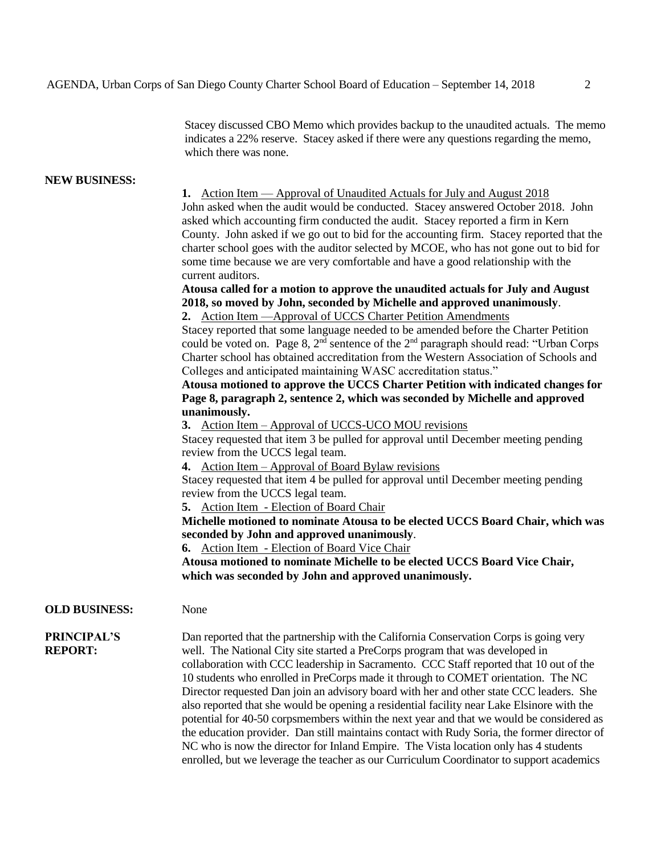Stacey discussed CBO Memo which provides backup to the unaudited actuals. The memo indicates a 22% reserve. Stacey asked if there were any questions regarding the memo, which there was none.

## **NEW BUSINESS:**

**1.** Action Item — Approval of Unaudited Actuals for July and August 2018 John asked when the audit would be conducted. Stacey answered October 2018. John asked which accounting firm conducted the audit. Stacey reported a firm in Kern County. John asked if we go out to bid for the accounting firm. Stacey reported that the charter school goes with the auditor selected by MCOE, who has not gone out to bid for some time because we are very comfortable and have a good relationship with the current auditors.

**Atousa called for a motion to approve the unaudited actuals for July and August 2018, so moved by John, seconded by Michelle and approved unanimously**. **2.** Action Item —Approval of UCCS Charter Petition Amendments

Stacey reported that some language needed to be amended before the Charter Petition could be voted on. Page 8,  $2<sup>nd</sup>$  sentence of the  $2<sup>nd</sup>$  paragraph should read: "Urban Corps Charter school has obtained accreditation from the Western Association of Schools and Colleges and anticipated maintaining WASC accreditation status."

**Atousa motioned to approve the UCCS Charter Petition with indicated changes for Page 8, paragraph 2, sentence 2, which was seconded by Michelle and approved unanimously.** 

**3.** Action Item – Approval of UCCS-UCO MOU revisions

Stacey requested that item 3 be pulled for approval until December meeting pending review from the UCCS legal team.

**4.** Action Item – Approval of Board Bylaw revisions

Stacey requested that item 4 be pulled for approval until December meeting pending review from the UCCS legal team.

**5.** Action Item - Election of Board Chair

**Michelle motioned to nominate Atousa to be elected UCCS Board Chair, which was seconded by John and approved unanimously**.

**6.** Action Item - Election of Board Vice Chair

**Atousa motioned to nominate Michelle to be elected UCCS Board Vice Chair, which was seconded by John and approved unanimously.**

## **OLD BUSINESS:** None

**PRINCIPAL'S REPORT:**

Dan reported that the partnership with the California Conservation Corps is going very well. The National City site started a PreCorps program that was developed in collaboration with CCC leadership in Sacramento. CCC Staff reported that 10 out of the 10 students who enrolled in PreCorps made it through to COMET orientation. The NC Director requested Dan join an advisory board with her and other state CCC leaders. She also reported that she would be opening a residential facility near Lake Elsinore with the potential for 40-50 corpsmembers within the next year and that we would be considered as the education provider. Dan still maintains contact with Rudy Soria, the former director of NC who is now the director for Inland Empire. The Vista location only has 4 students enrolled, but we leverage the teacher as our Curriculum Coordinator to support academics